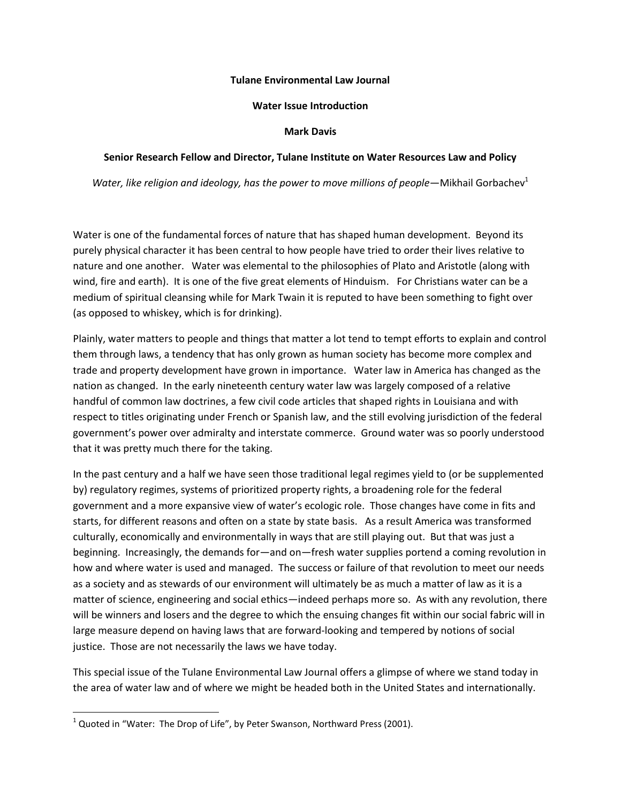## **Tulane Environmental Law Journal**

## **Water Issue Introduction**

## **Mark Davis**

## **Senior Research Fellow and Director, Tulane Institute on Water Resources Law and Policy**

*Water, like religion and ideology, has the power to move millions of people—Mikhail Gorbachev*<sup>1</sup>

Water is one of the fundamental forces of nature that has shaped human development. Beyond its purely physical character it has been central to how people have tried to order their lives relative to nature and one another. Water was elemental to the philosophies of Plato and Aristotle (along with wind, fire and earth). It is one of the five great elements of Hinduism. For Christians water can be a medium of spiritual cleansing while for Mark Twain it is reputed to have been something to fight over (as opposed to whiskey, which is for drinking).

Plainly, water matters to people and things that matter a lot tend to tempt efforts to explain and control them through laws, a tendency that has only grown as human society has become more complex and trade and property development have grown in importance. Water law in America has changed as the nation as changed. In the early nineteenth century water law was largely composed of a relative handful of common law doctrines, a few civil code articles that shaped rights in Louisiana and with respect to titles originating under French or Spanish law, and the still evolving jurisdiction of the federal government's power over admiralty and interstate commerce. Ground water was so poorly understood that it was pretty much there for the taking.

In the past century and a half we have seen those traditional legal regimes yield to (or be supplemented by) regulatory regimes, systems of prioritized property rights, a broadening role for the federal government and a more expansive view of water's ecologic role. Those changes have come in fits and starts, for different reasons and often on a state by state basis. As a result America was transformed culturally, economically and environmentally in ways that are still playing out. But that was just a beginning. Increasingly, the demands for—and on—fresh water supplies portend a coming revolution in how and where water is used and managed. The success or failure of that revolution to meet our needs as a society and as stewards of our environment will ultimately be as much a matter of law as it is a matter of science, engineering and social ethics—indeed perhaps more so. As with any revolution, there will be winners and losers and the degree to which the ensuing changes fit within our social fabric will in large measure depend on having laws that are forward-looking and tempered by notions of social justice. Those are not necessarily the laws we have today.

This special issue of the Tulane Environmental Law Journal offers a glimpse of where we stand today in the area of water law and of where we might be headed both in the United States and internationally.

 $\overline{a}$ 

 $^1$  Quoted in "Water: The Drop of Life", by Peter Swanson, Northward Press (2001).